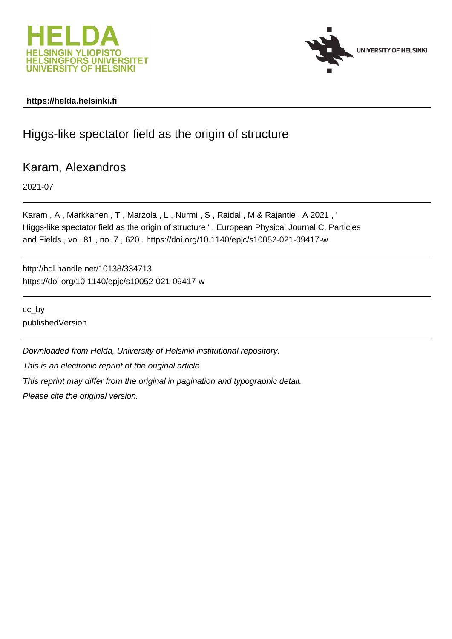



### **https://helda.helsinki.fi**

# Higgs-like spectator field as the origin of structure

## Karam, Alexandros

2021-07

Karam , A , Markkanen , T , Marzola , L , Nurmi , S , Raidal , M & Rajantie , A 2021 , ' Higgs-like spectator field as the origin of structure ' , European Physical Journal C. Particles and Fields , vol. 81 , no. 7 , 620 . https://doi.org/10.1140/epjc/s10052-021-09417-w

http://hdl.handle.net/10138/334713 https://doi.org/10.1140/epjc/s10052-021-09417-w

cc\_by publishedVersion

Downloaded from Helda, University of Helsinki institutional repository.

This is an electronic reprint of the original article.

This reprint may differ from the original in pagination and typographic detail.

Please cite the original version.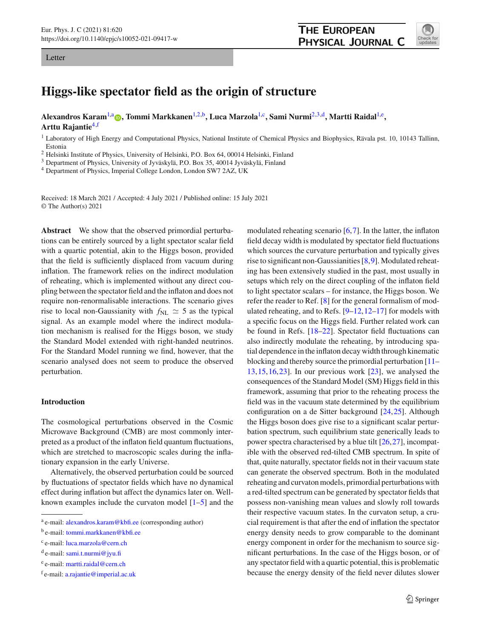#### Letter



### **Higgs-like spectator field as the origin of structure**

**Alexandros Karam**1,a **[,](http://orcid.org/0000-0002-0582-8996) Tommi Markkanen**1,2,b**, Luca Marzola**1,c**, Sami Nurmi**2,3,d**, Martti Raidal**1,e**, Arttu Rajantie**4,f

<sup>1</sup> Laboratory of High Energy and Computational Physics, National Institute of Chemical Physics and Biophysics, Rävala pst. 10, 10143 Tallinn, Estonia

<sup>2</sup> Helsinki Institute of Physics, University of Helsinki, P.O. Box 64, 00014 Helsinki, Finland

<sup>3</sup> Department of Physics, University of Jyväskylä, P.O. Box 35, 40014 Jyväskylä, Finland

<sup>4</sup> Department of Physics, Imperial College London, London SW7 2AZ, UK

Received: 18 March 2021 / Accepted: 4 July 2021 / Published online: 15 July 2021 © The Author(s) 2021

**Abstract** We show that the observed primordial perturbations can be entirely sourced by a light spectator scalar field with a quartic potential, akin to the Higgs boson, provided that the field is sufficiently displaced from vacuum during inflation. The framework relies on the indirect modulation of reheating, which is implemented without any direct coupling between the spectator field and the inflaton and does not require non-renormalisable interactions. The scenario gives rise to local non-Gaussianity with  $f_{NL} \simeq 5$  as the typical signal. As an example model where the indirect modulation mechanism is realised for the Higgs boson, we study the Standard Model extended with right-handed neutrinos. For the Standard Model running we find, however, that the scenario analysed does not seem to produce the observed perturbation.

#### **Introduction**

The cosmological perturbations observed in the Cosmic Microwave Background (CMB) are most commonly interpreted as a product of the inflaton field quantum fluctuations, which are stretched to macroscopic scales during the inflationary expansion in the early Universe.

Alternatively, the observed perturbation could be sourced by fluctuations of spectator fields which have no dynamical effect during inflation but affect the dynamics later on. Wellknown examples include the curvaton model [1–5] and the

<sup>e</sup> e-mail: [martti.raidal@cern.ch](mailto:martti.raidal@cern.ch)

modulated reheating scenario  $[6,7]$ . In the latter, the inflaton field decay width is modulated by spectator field fluctuations which sources the curvature perturbation and typically gives rise to significant non-Gaussianities [8,9]. Modulated reheating has been extensively studied in the past, most usually in setups which rely on the direct coupling of the inflaton field to light spectator scalars – for instance, the Higgs boson. We refer the reader to Ref. [8] for the general formalism of modulated reheating, and to Refs. [9–12,12–17] for models with a specific focus on the Higgs field. Further related work can be found in Refs. [18–22]. Spectator field fluctuations can also indirectly modulate the reheating, by introducing spatial dependence in the inflaton decay width through kinematic blocking and thereby source the primordial perturbation [11– 13,15,16,23]. In our previous work [23], we analysed the consequences of the Standard Model (SM) Higgs field in this framework, assuming that prior to the reheating process the field was in the vacuum state determined by the equilibrium configuration on a de Sitter background [24,25]. Although the Higgs boson does give rise to a significant scalar perturbation spectrum, such equilibrium state generically leads to power spectra characterised by a blue tilt [26,27], incompatible with the observed red-tilted CMB spectrum. In spite of that, quite naturally, spectator fields not in their vacuum state can generate the observed spectrum. Both in the modulated reheating and curvaton models, primordial perturbations with a red-tilted spectrum can be generated by spectator fields that possess non-vanishing mean values and slowly roll towards their respective vacuum states. In the curvaton setup, a crucial requirement is that after the end of inflation the spectator energy density needs to grow comparable to the dominant energy component in order for the mechanism to source significant perturbations. In the case of the Higgs boson, or of any spectator field with a quartic potential, this is problematic because the energy density of the field never dilutes slower

<sup>a</sup> e-mail: [alexandros.karam@kbfi.ee](mailto:alexandros.karam@kbfi.ee) (corresponding author)

<sup>b</sup> e-mail: [tommi.markkanen@kbfi.ee](mailto:tommi.markkanen@kbfi.ee)

<sup>c</sup> e-mail: [luca.marzola@cern.ch](mailto:luca.marzola@cern.ch)

 $d$  e-mail: [sami.t.nurmi@jyu.fi](mailto:sami.t.nurmi@jyu.fi)

<sup>f</sup> e-mail: [a.rajantie@imperial.ac.uk](mailto:a.rajantie@imperial.ac.uk)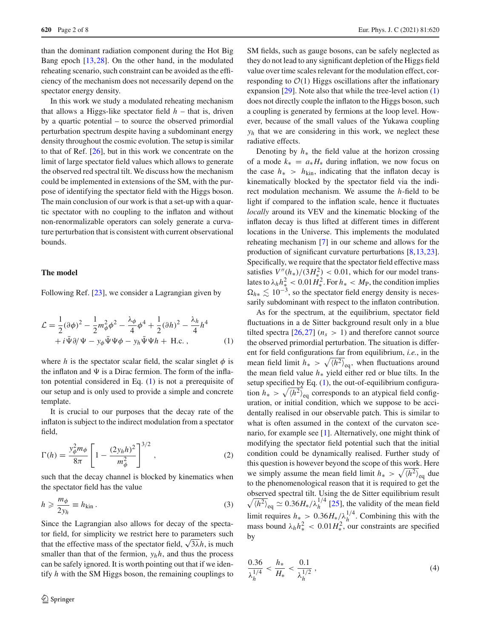than the dominant radiation component during the Hot Big Bang epoch [13,28]. On the other hand, in the modulated reheating scenario, such constraint can be avoided as the efficiency of the mechanism does not necessarily depend on the spectator energy density.

In this work we study a modulated reheating mechanism that allows a Higgs-like spectator field  $h$  – that is, driven by a quartic potential – to source the observed primordial perturbation spectrum despite having a subdominant energy density throughout the cosmic evolution. The setup is similar to that of Ref. [26], but in this work we concentrate on the limit of large spectator field values which allows to generate the observed red spectral tilt. We discuss how the mechanism could be implemented in extensions of the SM, with the purpose of identifying the spectator field with the Higgs boson. The main conclusion of our work is that a set-up with a quartic spectator with no coupling to the inflaton and without non-renormalizable operators can solely generate a curvature perturbation that is consistent with current observational bounds.

#### **The model**

Following Ref. [23], we consider a Lagrangian given by

$$
\mathcal{L} = \frac{1}{2}(\partial \phi)^2 - \frac{1}{2}m_{\phi}^2 \phi^2 - \frac{\lambda_{\phi}}{4} \phi^4 + \frac{1}{2}(\partial h)^2 - \frac{\lambda_h}{4} h^4
$$
  
+  $i \bar{\Psi} \partial / \Psi - y_{\phi} \bar{\Psi} \Psi \phi - y_h \bar{\Psi} \Psi h + \text{H.c.} ,$  (1)

where *h* is the spectator scalar field, the scalar singlet  $\phi$  is the inflaton and  $\Psi$  is a Dirac fermion. The form of the inflaton potential considered in Eq.  $(1)$  is not a prerequisite of our setup and is only used to provide a simple and concrete template.

It is crucial to our purposes that the decay rate of the inflaton is subject to the indirect modulation from a spectator field,

$$
\Gamma(h) = \frac{y_{\phi}^2 m_{\phi}}{8\pi} \left[ 1 - \frac{(2y_h h)^2}{m_{\phi}^2} \right]^{3/2},
$$
\n(2)

such that the decay channel is blocked by kinematics when the spectator field has the value

$$
h \geqslant \frac{m_{\phi}}{2y_h} \equiv h_{\text{kin}} \,. \tag{3}
$$

Since the Lagrangian also allows for decay of the spectator field, for simplicity we restrict here to parameters such that the effective mass of the spectator field,  $\sqrt{3\lambda}h$ , is much smaller than that of the fermion,  $y_h h$ , and thus the process can be safely ignored. It is worth pointing out that if we identify *h* with the SM Higgs boson, the remaining couplings to SM fields, such as gauge bosons, can be safely neglected as they do not lead to any significant depletion of the Higgs field value over time scales relevant for the modulation effect, corresponding to  $\mathcal{O}(1)$  Higgs oscillations after the inflationary expansion [29]. Note also that while the tree-level action (1) does not directly couple the inflaton to the Higgs boson, such a coupling is generated by fermions at the loop level. However, because of the small values of the Yukawa coupling *yh* that we are considering in this work, we neglect these radiative effects.

Denoting by *h*<sup>∗</sup> the field value at the horizon crossing of a mode  $k_* = a_* H_*$  during inflation, we now focus on the case  $h_*$  >  $h_{\text{kin}}$ , indicating that the inflaton decay is kinematically blocked by the spectator field via the indirect modulation mechanism. We assume the *h*-field to be light if compared to the inflation scale, hence it fluctuates *locally* around its VEV and the kinematic blocking of the inflaton decay is thus lifted at different times in different locations in the Universe. This implements the modulated reheating mechanism [7] in our scheme and allows for the production of significant curvature perturbations [8,13,23]. Specifically, we require that the spectator field effective mass satisfies  $V''(h_*)/(3H_*^2) < 0.01$ , which for our model translates to  $\lambda_h h_*^2 < 0.01 H_*^2$ . For  $h_* < M_P$ , the condition implies  $\Omega_{h*} \lesssim 10^{-3}$ , so the spectator field energy density is necessarily subdominant with respect to the inflaton contribution.

As for the spectrum, at the equilibrium, spectator field fluctuations in a de Sitter background result only in a blue tilted spectra  $[26,27]$  ( $n_s > 1$ ) and therefore cannot source the observed primordial perturbation. The situation is different for field configurations far from equilibrium, *i.e.*, in the mean field limit  $h_* > \sqrt{\langle h^2 \rangle}_{\text{eq}}$ , when fluctuations around the mean field value *h*<sup>∗</sup> yield either red or blue tilts. In the setup specified by Eq. (1), the out-of-equilibrium configuration  $h_* > \sqrt{\langle h^2 \rangle}_{\text{eq}}$  corresponds to an atypical field configuration, or initial condition, which we suppose to be accidentally realised in our observable patch. This is similar to what is often assumed in the context of the curvaton scenario, for example see [1]. Alternatively, one might think of modifying the spectator field potential such that the initial condition could be dynamically realised. Further study of this question is however beyond the scope of this work. Here we simply assume the mean field limit  $h_* > \sqrt{\langle h^2 \rangle}_{\text{eq}}$  due to the phenomenological reason that it is required to get the observed spectral tilt. Using the de Sitter equilibrium result  $\sqrt{\langle h^2 \rangle}_{\text{eq}} \simeq 0.36 H_* / \lambda_h^{1/4}$  [25], the validity of the mean field limit requires  $h_* > 0.36 H_*/\lambda_h^{1/4}$ . Combining this with the mass bound  $\lambda_h h_*^2 < 0.01 H_*^2$ , our constraints are specified by

$$
\frac{0.36}{\lambda_h^{1/4}} < \frac{h_*}{H_*} < \frac{0.1}{\lambda_h^{1/2}}\,,\tag{4}
$$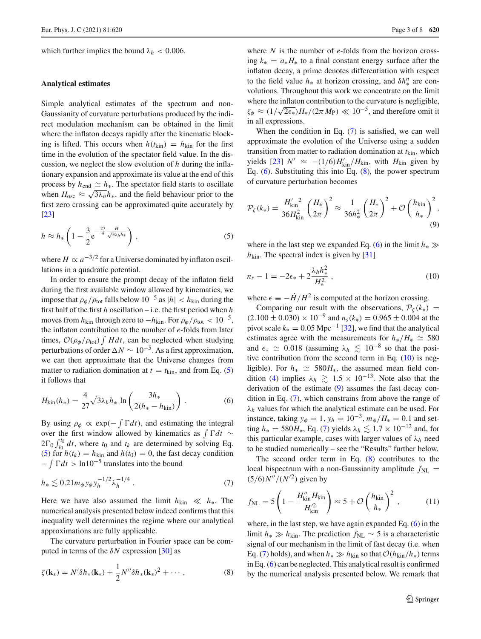which further implies the bound  $\lambda_h < 0.006$ .

#### **Analytical estimates**

Simple analytical estimates of the spectrum and non-Gaussianity of curvature perturbations produced by the indirect modulation mechanism can be obtained in the limit where the inflaton decays rapidly after the kinematic blocking is lifted. This occurs when  $h(t_{\text{kin}}) = h_{\text{kin}}$  for the first time in the evolution of the spectator field value. In the discussion, we neglect the slow evolution of *h* during the inflationary expansion and approximate its value at the end of this process by  $h_{end} \simeq h_{*}$ . The spectator field starts to oscillate when  $H_{\text{osc}} \approx \sqrt{3\lambda_h} h_*$ , and the field behaviour prior to the first zero crossing can be approximated quite accurately by [23]

$$
h \approx h_* \left( 1 - \frac{3}{2} e^{-\frac{27}{4} \frac{H}{\sqrt{3\lambda_h} h_*}} \right), \tag{5}
$$

where  $H \propto a^{-3/2}$  for a Universe dominated by inflaton oscillations in a quadratic potential.

In order to ensure the prompt decay of the inflaton field during the first available window allowed by kinematics, we impose that  $\rho_{\phi}/\rho_{\text{tot}}$  falls below 10<sup>-5</sup> as  $|h| < h_{\text{kin}}$  during the first half of the first *h* oscillation – i.e. the first period when *h* moves from  $h_{\text{kin}}$  through zero to  $-h_{\text{kin}}$ . For  $\rho_{\phi}/\rho_{\text{tot}} < 10^{-5}$ , the inflaton contribution to the number of *e*-folds from later times,  $O(\rho_{\phi}/\rho_{\text{tot}}) \int H dt$ , can be neglected when studying perturbations of order  $\Delta N \sim 10^{-5}$ . As a first approximation, we can then approximate that the Universe changes from matter to radiation domination at  $t = t_{\text{kin}}$ , and from Eq. (5) it follows that

$$
H_{\rm kin}(h_*) = \frac{4}{27} \sqrt{3\lambda_h} h_* \ln \left( \frac{3h_*}{2(h_* - h_{\rm kin})} \right). \tag{6}
$$

By using  $\rho_{\phi} \propto \exp(-\int \Gamma dt)$ , and estimating the integral over the first window allowed by kinematics as  $\int \Gamma dt \sim$  $2\Gamma_0 \int_{t_0}^{t_k} dt$ , where  $t_0$  and  $t_k$  are determined by solving Eq. (5) for  $h(t_k) = h_{\text{kin}}$  and  $h(t_0) = 0$ , the fast decay condition  $-\int \Gamma dt > \ln 10^{-5}$  translates into the bound

$$
h_* \lesssim 0.21 m_\phi y_\phi y_h^{-1/2} \lambda_h^{-1/4} \ . \tag{7}
$$

Here we have also assumed the limit  $h_{\text{kin}} \ll h_*$ . The numerical analysis presented below indeed confirms that this inequality well determines the regime where our analytical approximations are fully applicable.

The curvature perturbation in Fourier space can be computed in terms of the  $\delta N$  expression [30] as

$$
\zeta(\mathbf{k}_{*}) = N' \delta h_{*}(\mathbf{k}_{*}) + \frac{1}{2} N'' \delta h_{*}(\mathbf{k}_{*})^{2} + \cdots,
$$
 (8)

where *N* is the number of *e*-folds from the horizon crossing  $k_* = a_* H_*$  to a final constant energy surface after the inflaton decay, a prime denotes differentiation with respect to the field value  $h_*$  at horizon crossing, and  $\delta h_*^n$  are convolutions. Throughout this work we concentrate on the limit where the inflaton contribution to the curvature is negligible,  $\zeta_{\phi} \approx (1/\sqrt{2\epsilon_*})H_*/(2\pi M_{\rm P}) \ll 10^{-5}$ , and therefore omit it in all expressions.

When the condition in Eq. (7) is satisfied, we can well approximate the evolution of the Universe using a sudden transition from matter to radiation domination at  $t_{\text{kin}}$ , which yields [23] *N'* ≈  $-(1/6)H'_{kin}/H_{kin}$ , with *H*<sub>kin</sub> given by Eq. (6). Substituting this into Eq. (8), the power spectrum of curvature perturbation becomes

$$
\mathcal{P}_{\zeta}(k_{*}) = \frac{H'_{\text{kin}}^{2}}{36H_{\text{kin}}^{2}} \left(\frac{H_{*}}{2\pi}\right)^{2} \approx \frac{1}{36h_{*}^{2}} \left(\frac{H_{*}}{2\pi}\right)^{2} + \mathcal{O}\left(\frac{h_{\text{kin}}}{h_{*}}\right)^{2},\tag{9}
$$

where in the last step we expanded Eq. (6) in the limit  $h_* \gg$  $h_{\text{kin}}$ . The spectral index is given by [31]

$$
n_s - 1 = -2\epsilon_* + 2\frac{\lambda_h h_*^2}{H_*^2},\tag{10}
$$

where  $\epsilon = -\dot{H}/H^2$  is computed at the horizon crossing.

Comparing our result with the observations,  $\mathcal{P}_{\zeta}(k_*)$  =  $(2.100 \pm 0.030) \times 10^{-9}$  and  $n_s(k_*) = 0.965 \pm 0.004$  at the pivot scale  $k_* = 0.05 \text{ Mpc}^{-1}$  [32], we find that the analytical estimates agree with the measurements for  $h_*/H_* \simeq 580$ and  $\epsilon_* \simeq 0.018$  (assuming  $\lambda_h \lesssim 10^{-8}$  so that the positive contribution from the second term in Eq.  $(10)$  is negligible). For  $h_* \simeq 580H_*$ , the assumed mean field condition (4) implies  $\lambda_h \geq 1.5 \times 10^{-13}$ . Note also that the derivation of the estimate (9) assumes the fast decay condition in Eq. (7), which constrains from above the range of  $\lambda_h$  values for which the analytical estimate can be used. For instance, taking  $y_{\phi} = 1$ ,  $y_h = 10^{-3}$ ,  $m_{\phi}/H_* = 0.1$  and setting  $h_* = 580H_*$ , Eq. (7) yields  $\lambda_h \lesssim 1.7 \times 10^{-12}$  and, for this particular example, cases with larger values of  $\lambda_h$  need to be studied numerically – see the "Results" further below.

The second order term in Eq.  $(8)$  contributes to the local bispectrum with a non-Gaussianity amplitude  $f_{NL}$  =  $(5/6)N''/(N'^2)$  given by

$$
f_{\rm NL} = 5 \left( 1 - \frac{H_{\rm kin}^{\prime\prime} H_{\rm kin}}{H_{\rm kin}^{\prime 2}} \right) \approx 5 + \mathcal{O}\left(\frac{h_{\rm kin}}{h_*}\right)^2 ,\qquad (11)
$$

where, in the last step, we have again expanded Eq. (6) in the limit  $h_* \gg h_{\text{kin}}$ . The prediction  $f_{\text{NL}} \sim 5$  is a characteristic signal of our mechanism in the limit of fast decay (i.e. when Eq. (7) holds), and when  $h_* \gg h_{\text{kin}}$  so that  $\mathcal{O}(h_{\text{kin}}/h_*)$  terms in Eq. (6) can be neglected. This analytical result is confirmed by the numerical analysis presented below. We remark that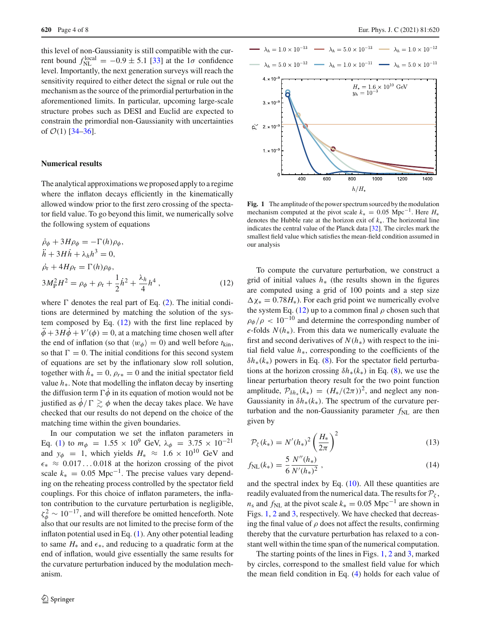this level of non-Gaussianity is still compatible with the current bound  $f_{\text{NL}}^{\text{local}} = -0.9 \pm 5.1$  [33] at the 1 $\sigma$  confidence level. Importantly, the next generation surveys will reach the sensitivity required to either detect the signal or rule out the mechanism as the source of the primordial perturbation in the aforementioned limits. In particular, upcoming large-scale structure probes such as DESI and Euclid are expected to constrain the primordial non-Gaussianity with uncertainties of  $O(1)$  [34–36].

#### **Numerical results**

The analytical approximations we proposed apply to a regime where the inflaton decays efficiently in the kinematically allowed window prior to the first zero crossing of the spectator field value. To go beyond this limit, we numerically solve the following system of equations

$$
\dot{\rho}_{\phi} + 3H\rho_{\phi} = -\Gamma(h)\rho_{\phi},
$$
\n
$$
\ddot{h} + 3H\dot{h} + \lambda_h h^3 = 0,
$$
\n
$$
\dot{\rho}_{r} + 4H\rho_{r} = \Gamma(h)\rho_{\phi},
$$
\n
$$
3M_{\rm P}^2 H^2 = \rho_{\phi} + \rho_{r} + \frac{1}{2}\dot{h}^2 + \frac{\lambda_h}{4}h^4,
$$
\n(12)

where  $\Gamma$  denotes the real part of Eq. (2). The initial conditions are determined by matching the solution of the system composed by Eq.  $(12)$  with the first line replaced by  $\phi + 3H\phi + V'(\phi) = 0$ , at a matching time chosen well after the end of inflation (so that  $\langle w_{\phi} \rangle = 0$ ) and well before  $t_{\text{kin}}$ , so that  $\Gamma = 0$ . The initial conditions for this second system of equations are set by the inflationary slow roll solution, together with  $h<sub>∗</sub> = 0$ ,  $\rho<sub>r∗</sub> = 0$  and the initial spectator field value *h*∗. Note that modelling the inflaton decay by inserting the diffusion term  $\Gamma \dot{\phi}$  in its equation of motion would not be justified as  $\dot{\phi}/\Gamma \gtrsim \phi$  when the decay takes place. We have checked that our results do not depend on the choice of the matching time within the given boundaries.

In our computation we set the inflaton parameters in Eq. (1) to  $m_{\phi}$  = 1.55 × 10<sup>9</sup> GeV,  $\lambda_{\phi}$  = 3.75 × 10<sup>-21</sup> and  $y_{\phi} = 1$ , which yields  $H_* \approx 1.6 \times 10^{10}$  GeV and  $\epsilon_* \approx 0.017...0.018$  at the horizon crossing of the pivot scale  $k_* = 0.05$  Mpc<sup>-1</sup>. The precise values vary depending on the reheating process controlled by the spectator field couplings. For this choice of inflaton parameters, the inflaton contribution to the curvature perturbation is negligible,  $\zeta_{\phi}^2 \sim 10^{-17}$ , and will therefore be omitted henceforth. Note also that our results are not limited to the precise form of the inflaton potential used in Eq. (1). Any other potential leading to same  $H_*$  and  $\epsilon_*,$  and reducing to a quadratic form at the end of inflation, would give essentially the same results for the curvature perturbation induced by the modulation mechanism.



**Fig. 1** The amplitude of the power spectrum sourced by the modulation mechanism computed at the pivot scale  $k_* = 0.05$  Mpc<sup>-1</sup>. Here  $H_*$ denotes the Hubble rate at the horizon exit of *k*∗. The horizontal line indicates the central value of the Planck data [32]. The circles mark the smallest field value which satisfies the mean-field condition assumed in our analysis

To compute the curvature perturbation, we construct a grid of initial values *h*<sup>∗</sup> (the results shown in the figures are computed using a grid of 100 points and a step size  $\Delta \chi_* = 0.78 H_*$ ). For each grid point we numerically evolve the system Eq. (12) up to a common final  $\rho$  chosen such that  $\rho_{\phi}/\rho$  < 10<sup>-10</sup> and determine the corresponding number of *e*-folds  $N(h_*)$ . From this data we numerically evaluate the first and second derivatives of  $N(h_*)$  with respect to the initial field value *h*∗, corresponding to the coefficients of the  $\delta h_*(k_*)$  powers in Eq. (8). For the spectator field perturbations at the horizon crossing  $\delta h_*(k_*)$  in Eq. (8), we use the linear perturbation theory result for the two point function amplitude,  $\mathcal{P}_{\delta h_*}(k_*) = (H_*/(2\pi))^2$ , and neglect any non-Gaussianity in  $\delta h_*(k_*)$ . The spectrum of the curvature perturbation and the non-Gaussianity parameter  $f_{NL}$  are then given by

$$
\mathcal{P}_{\zeta}(k_*) = N'(h_*)^2 \left(\frac{H_*}{2\pi}\right)^2 \tag{13}
$$

$$
f_{\rm NL}(k_*) = \frac{5}{6} \frac{N''(h_*)}{N'(h_*)^2} \,,\tag{14}
$$

and the spectral index by Eq.  $(10)$ . All these quantities are readily evaluated from the numerical data. The results for  $P_\zeta$ ,  $n_s$  and  $f_{NL}$  at the pivot scale  $k_* = 0.05$  Mpc<sup>-1</sup> are shown in Figs. 1, 2 and 3, respectively. We have checked that decreasing the final value of  $\rho$  does not affect the results, confirming thereby that the curvature perturbation has relaxed to a constant well within the time span of the numerical computation.

The starting points of the lines in Figs. 1, 2 and 3, marked by circles, correspond to the smallest field value for which the mean field condition in Eq. (4) holds for each value of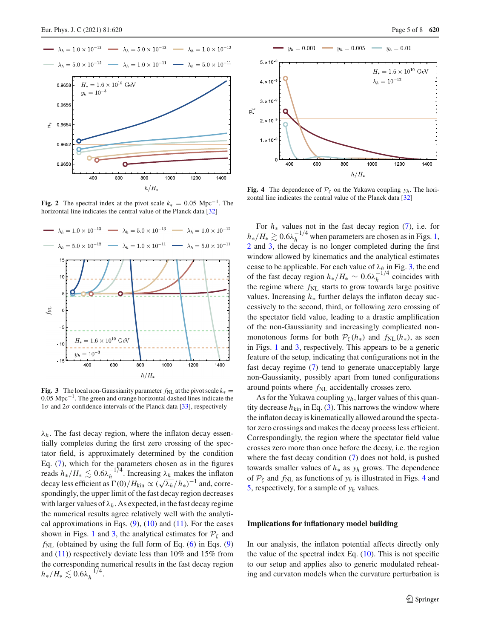

**Fig. 2** The spectral index at the pivot scale  $k_* = 0.05 \text{ Mpc}^{-1}$ . The horizontal line indicates the central value of the Planck data [32]



**Fig. 3** The local non-Gaussianity parameter  $f_{NL}$  at the pivot scale  $k_* =$ 0.05 Mpc−1. The green and orange horizontal dashed lines indicate the  $1\sigma$  and  $2\sigma$  confidence intervals of the Planck data [33], respectively

 $\lambda_h$ . The fast decay region, where the inflaton decay essentially completes during the first zero crossing of the spectator field, is approximately determined by the condition Eq. (7), which for the parameters chosen as in the figures reads  $h_*/H_* \lesssim 0.6\lambda_h^{-1/4}$ . Increasing  $\lambda_h$  makes the inflaton decay less efficient as  $\Gamma(0)/H_{\text{kin}} \propto (\sqrt{\lambda_h}/h_*)^{-1}$  and, correspondingly, the upper limit of the fast decay region decreases with larger values of  $\lambda_h$ . As expected, in the fast decay regime the numerical results agree relatively well with the analytical approximations in Eqs.  $(9)$ ,  $(10)$  and  $(11)$ . For the cases shown in Figs. 1 and 3, the analytical estimates for  $P_\zeta$  and  $f_{NL}$  (obtained by using the full form of Eq. (6) in Eqs. (9) and  $(11)$ ) respectively deviate less than 10% and 15% from the corresponding numerical results in the fast decay region  $h_*/H_* \lesssim 0.6 \lambda_h^{-1/4}.$ 



**Fig. 4** The dependence of  $P_\zeta$  on the Yukawa coupling  $y_h$ . The horizontal line indicates the central value of the Planck data [32]

For *h*<sup>∗</sup> values not in the fast decay region (7), i.e. for  $h_*/H_* \gtrsim 0.6\lambda_h^{-1/4}$  when parameters are chosen as in Figs. 1, 2 and 3, the decay is no longer completed during the first window allowed by kinematics and the analytical estimates cease to be applicable. For each value of λ*h* in Fig. 3, the end of the fast decay region  $h_*/H_* \sim 0.6\lambda_h^{-1/4}$  coincides with the regime where  $f_{NL}$  starts to grow towards large positive values. Increasing *h*<sup>∗</sup> further delays the inflaton decay successively to the second, third, or following zero crossing of the spectator field value, leading to a drastic amplification of the non-Gaussianity and increasingly complicated nonmonotonous forms for both  $P_{\zeta}(h_*)$  and  $f_{\text{NL}}(h_*)$ , as seen in Figs. 1 and 3, respectively. This appears to be a generic feature of the setup, indicating that configurations not in the fast decay regime (7) tend to generate unacceptably large non-Gaussianity, possibly apart from tuned configurations around points where  $f_{NL}$  accidentally crosses zero.

As for the Yukawa coupling *yh*, larger values of this quantity decrease  $h_{\text{kin}}$  in Eq. (3). This narrows the window where the inflaton decay is kinematically allowed around the spectator zero crossings and makes the decay process less efficient. Correspondingly, the region where the spectator field value crosses zero more than once before the decay, i.e. the region where the fast decay condition (7) does not hold, is pushed towards smaller values of *h*<sup>∗</sup> as *yh* grows. The dependence of  $P_\zeta$  and  $f_{NL}$  as functions of  $y_h$  is illustrated in Figs. 4 and 5, respectively, for a sample of *yh* values.

#### **Implications for inflationary model building**

In our analysis, the inflaton potential affects directly only the value of the spectral index Eq. (10). This is not specific to our setup and applies also to generic modulated reheating and curvaton models when the curvature perturbation is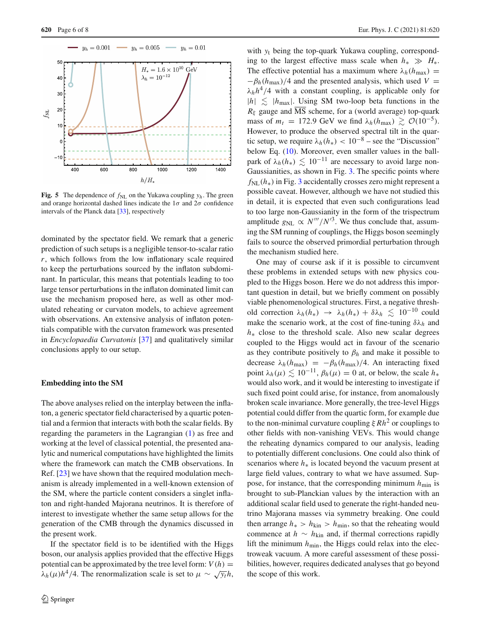

**Fig. 5** The dependence of  $f_{NL}$  on the Yukawa coupling  $y_h$ . The green and orange horizontal dashed lines indicate the  $1\sigma$  and  $2\sigma$  confidence intervals of the Planck data [33], respectively

dominated by the spectator field. We remark that a generic prediction of such setups is a negligible tensor-to-scalar ratio *r*, which follows from the low inflationary scale required to keep the perturbations sourced by the inflaton subdominant. In particular, this means that potentials leading to too large tensor perturbations in the inflaton dominated limit can use the mechanism proposed here, as well as other modulated reheating or curvaton models, to achieve agreement with observations. An extensive analysis of inflaton potentials compatible with the curvaton framework was presented in *Encyclopaedia Curvatonis* [37] and qualitatively similar conclusions apply to our setup.

#### **Embedding into the SM**

The above analyses relied on the interplay between the inflaton, a generic spectator field characterised by a quartic potential and a fermion that interacts with both the scalar fields. By regarding the parameters in the Lagrangian (1) as free and working at the level of classical potential, the presented analytic and numerical computations have highlighted the limits where the framework can match the CMB observations. In Ref. [23] we have shown that the required modulation mechanism is already implemented in a well-known extension of the SM, where the particle content considers a singlet inflaton and right-handed Majorana neutrinos. It is therefore of interest to investigate whether the same setup allows for the generation of the CMB through the dynamics discussed in the present work.

If the spectator field is to be identified with the Higgs boson, our analysis applies provided that the effective Higgs potential can be approximated by the tree level form:  $V(h) =$  $\lambda_h(\mu)h^4/4$ . The renormalization scale is set to  $\mu \sim \sqrt{y_t}h$ ,

with *y*<sup>t</sup> being the top-quark Yukawa coupling, corresponding to the largest effective mass scale when  $h_* \gg H_*$ . The effective potential has a maximum where  $\lambda_h(h_{\text{max}})$  =  $-\beta_h(h_{\text{max}})/4$  and the presented analysis, which used *V* =  $\lambda_h h^4/4$  with a constant coupling, is applicable only for  $|h| \leq h_{\text{max}}|$ . Using SM two-loop beta functions in the  $R_{\xi}$  gauge and  $\overline{\text{MS}}$  scheme, for a (world average) top-quark mass of  $m_t = 172.9$  GeV we find  $\lambda_h(h_{\text{max}}) \geq \mathcal{O}(10^{-5})$ . However, to produce the observed spectral tilt in the quartic setup, we require  $\lambda_h(h_*) < 10^{-8}$  – see the "Discussion" below Eq. (10). Moreover, even smaller values in the ballpark of  $\lambda_h(h_*) \leq 10^{-11}$  are necessary to avoid large non-Gaussianities, as shown in Fig. 3. The specific points where *f*<sub>NL</sub>(*h*<sup>∗</sup>) in Fig. 3 accidentally crosses zero might represent a possible caveat. However, although we have not studied this in detail, it is expected that even such configurations lead to too large non-Gaussianity in the form of the trispectrum amplitude  $g_{NL} \propto N'''/N'^3$ . We thus conclude that, assuming the SM running of couplings, the Higgs boson seemingly fails to source the observed primordial perturbation through the mechanism studied here.

One may of course ask if it is possible to circumvent these problems in extended setups with new physics coupled to the Higgs boson. Here we do not address this important question in detail, but we briefly comment on possibly viable phenomenological structures. First, a negative threshold correction  $\lambda_h(h_*) \rightarrow \lambda_h(h_*) + \delta \lambda_h \leq 10^{-10}$  could make the scenario work, at the cost of fine-tuning  $\delta \lambda_h$  and *h*<sup>∗</sup> close to the threshold scale. Also new scalar degrees coupled to the Higgs would act in favour of the scenario as they contribute positively to  $\beta_h$  and make it possible to decrease  $\lambda_h(h_{\text{max}}) = -\beta_h(h_{\text{max}})/4$ . An interacting fixed point  $\lambda_h(\mu) \lesssim 10^{-11}$ ,  $\beta_h(\mu) = 0$  at, or below, the scale  $h_*$ would also work, and it would be interesting to investigate if such fixed point could arise, for instance, from anomalously broken scale invariance. More generally, the tree-level Higgs potential could differ from the quartic form, for example due to the non-minimal curvature coupling  $\xi Rh^2$  or couplings to other fields with non-vanishing VEVs. This would change the reheating dynamics compared to our analysis, leading to potentially different conclusions. One could also think of scenarios where *h*<sup>∗</sup> is located beyond the vacuum present at large field values, contrary to what we have assumed. Suppose, for instance, that the corresponding minimum  $h_{\text{min}}$  is brought to sub-Planckian values by the interaction with an additional scalar field used to generate the right-handed neutrino Majorana masses via symmetry breaking. One could then arrange  $h_* > h_{\text{kin}} > h_{\text{min}}$ , so that the reheating would commence at  $h \sim h_{\text{kin}}$  and, if thermal corrections rapidly lift the minimum  $h_{\text{min}}$ , the Higgs could relax into the electroweak vacuum. A more careful assessment of these possibilities, however, requires dedicated analyses that go beyond the scope of this work.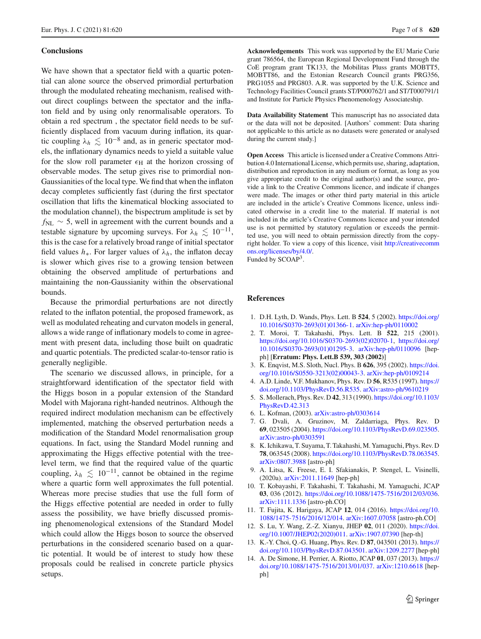#### **Conclusions**

We have shown that a spectator field with a quartic potential can alone source the observed primordial perturbation through the modulated reheating mechanism, realised without direct couplings between the spectator and the inflaton field and by using only renormalisable operators. To obtain a red spectrum , the spectator field needs to be sufficiently displaced from vacuum during inflation, its quartic coupling  $\lambda_h \leq 10^{-8}$  and, as in generic spectator models, the inflationary dynamics needs to yield a suitable value for the slow roll parameter  $\epsilon_H$  at the horizon crossing of observable modes. The setup gives rise to primordial non-Gaussianities of the local type. We find that when the inflaton decay completes sufficiently fast (during the first spectator oscillation that lifts the kinematical blocking associated to the modulation channel), the bispectrum amplitude is set by *f*<sub>NL</sub> ∼ 5, well in agreement with the current bounds and a testable signature by upcoming surveys. For  $\lambda_h \leq 10^{-11}$ , this is the case for a relatively broad range of initial spectator field values  $h_{*}$ . For larger values of  $\lambda_{h}$ , the inflaton decay is slower which gives rise to a growing tension between obtaining the observed amplitude of perturbations and maintaining the non-Gaussianity within the observational bounds.

Because the primordial perturbations are not directly related to the inflaton potential, the proposed framework, as well as modulated reheating and curvaton models in general, allows a wide range of inflationary models to come in agreement with present data, including those built on quadratic and quartic potentials. The predicted scalar-to-tensor ratio is generally negligible.

The scenario we discussed allows, in principle, for a straightforward identification of the spectator field with the Higgs boson in a popular extension of the Standard Model with Majorana right-handed neutrinos. Although the required indirect modulation mechanism can be effectively implemented, matching the observed perturbation needs a modification of the Standard Model renormalisation group equations. In fact, using the Standard Model running and approximating the Higgs effective potential with the treelevel term, we find that the required value of the quartic coupling,  $\lambda_h \leq 10^{-11}$ , cannot be obtained in the regime where a quartic form well approximates the full potential. Whereas more precise studies that use the full form of the Higgs effective potential are needed in order to fully assess the possibility, we have briefly discussed promising phenomenological extensions of the Standard Model which could allow the Higgs boson to source the observed perturbations in the considered scenario based on a quartic potential. It would be of interest to study how these proposals could be realised in concrete particle physics setups.

**Acknowledgements** This work was supported by the EU Marie Curie grant 786564, the European Regional Development Fund through the CoE program grant TK133, the Mobilitas Pluss grants MOBTT5, MOBTT86, and the Estonian Research Council grants PRG356, PRG1055 and PRG803. A.R. was supported by the U.K. Science and Technology Facilities Council grants ST/P000762/1 and ST/T000791/1 and Institute for Particle Physics Phenomenology Associateship.

**Data Availability Statement** This manuscript has no associated data or the data will not be deposited. [Authors' comment: Data sharing not applicable to this article as no datasets were generated or analysed during the current study.]

**Open Access** This article is licensed under a Creative Commons Attribution 4.0 International License, which permits use, sharing, adaptation, distribution and reproduction in any medium or format, as long as you give appropriate credit to the original author(s) and the source, provide a link to the Creative Commons licence, and indicate if changes were made. The images or other third party material in this article are included in the article's Creative Commons licence, unless indicated otherwise in a credit line to the material. If material is not included in the article's Creative Commons licence and your intended use is not permitted by statutory regulation or exceeds the permitted use, you will need to obtain permission directly from the copyright holder. To view a copy of this licence, visit [http://creativecomm](http://creativecommons.org/licenses/by/4.0/) [ons.org/licenses/by/4.0/.](http://creativecommons.org/licenses/by/4.0/) Funded by SCOAP3.

#### **References**

- 1. D.H. Lyth, D. Wands, Phys. Lett. B **524**, 5 (2002). [https://doi.org/](https://doi.org/10.1016/S0370-2693(01)01366-1) [10.1016/S0370-2693\(01\)01366-1.](https://doi.org/10.1016/S0370-2693(01)01366-1) [arXiv:hep-ph/0110002](http://arxiv.org/abs/hep-ph/0110002)
- 2. T. Moroi, T. Takahashi, Phys. Lett. B **522**, 215 (2001). [https://doi.org/10.1016/S0370-2693\(02\)02070-1,](https://doi.org/10.1016/S0370-2693(02)02070-1) [https://doi.org/](https://doi.org/10.1016/S0370-2693(01)01295-3) [10.1016/S0370-2693\(01\)01295-3.](https://doi.org/10.1016/S0370-2693(01)01295-3) [arXiv:hep-ph/0110096](http://arxiv.org/abs/hep-ph/0110096) [hepph] [**Erratum: Phys. Lett.B 539, 303 (2002)**]
- 3. K. Enqvist, M.S. Sloth, Nucl. Phys. B **626**, 395 (2002). [https://doi.](https://doi.org/10.1016/S0550-3213(02)00043-3) [org/10.1016/S0550-3213\(02\)00043-3.](https://doi.org/10.1016/S0550-3213(02)00043-3) [arXiv:hep-ph/0109214](http://arxiv.org/abs/hep-ph/0109214)
- 4. A.D. Linde, V.F. Mukhanov, Phys. Rev. D **56**, R535 (1997). [https://](https://doi.org/10.1103/PhysRevD.56.R535) [doi.org/10.1103/PhysRevD.56.R535.](https://doi.org/10.1103/PhysRevD.56.R535) [arXiv:astro-ph/9610219](http://arxiv.org/abs/astro-ph/9610219)
- 5. S. Mollerach, Phys. Rev. D **42**, 313 (1990). [https://doi.org/10.1103/](https://doi.org/10.1103/PhysRevD.42.313) [PhysRevD.42.313](https://doi.org/10.1103/PhysRevD.42.313)
- 6. L. Kofman, (2003). [arXiv:astro-ph/0303614](http://arxiv.org/abs/astro-ph/0303614)
- 7. G. Dvali, A. Gruzinov, M. Zaldarriaga, Phys. Rev. D **69**, 023505 (2004). [https://doi.org/10.1103/PhysRevD.69.023505.](https://doi.org/10.1103/PhysRevD.69.023505) [arXiv:astro-ph/0303591](http://arxiv.org/abs/astro-ph/0303591)
- 8. K. Ichikawa, T. Suyama, T. Takahashi, M. Yamaguchi, Phys. Rev. D **78**, 063545 (2008). [https://doi.org/10.1103/PhysRevD.78.063545.](https://doi.org/10.1103/PhysRevD.78.063545) [arXiv:0807.3988](http://arxiv.org/abs/0807.3988) [astro-ph]
- 9. A. Litsa, K. Freese, E. I. Sfakianakis, P. Stengel, L. Visinelli, (2020a). [arXiv:2011.11649](http://arxiv.org/abs/2011.11649) [hep-ph]
- 10. T. Kobayashi, F. Takahashi, T. Takahashi, M. Yamaguchi, JCAP **03**, 036 (2012). [https://doi.org/10.1088/1475-7516/2012/03/036.](https://doi.org/10.1088/1475-7516/2012/03/036) [arXiv:1111.1336](http://arxiv.org/abs/1111.1336) [astro-ph.CO]
- 11. T. Fujita, K. Harigaya, JCAP **12**, 014 (2016). [https://doi.org/10.](https://doi.org/10.1088/1475-7516/2016/12/014) [1088/1475-7516/2016/12/014.](https://doi.org/10.1088/1475-7516/2016/12/014) [arXiv:1607.07058](http://arxiv.org/abs/1607.07058) [astro-ph.CO]
- 12. S. Lu, Y. Wang, Z.-Z. Xianyu, JHEP **02**, 011 (2020). [https://doi.](https://doi.org/10.1007/JHEP02(2020)011) [org/10.1007/JHEP02\(2020\)011.](https://doi.org/10.1007/JHEP02(2020)011) [arXiv:1907.07390](http://arxiv.org/abs/1907.07390) [hep-th]
- 13. K.-Y. Choi, Q.-G. Huang, Phys. Rev. D **87**, 043501 (2013). [https://](https://doi.org/10.1103/PhysRevD.87.043501) [doi.org/10.1103/PhysRevD.87.043501.](https://doi.org/10.1103/PhysRevD.87.043501) [arXiv:1209.2277](http://arxiv.org/abs/1209.2277) [hep-ph]
- 14. A. De Simone, H. Perrier, A. Riotto, JCAP **01**, 037 (2013). [https://](https://doi.org/10.1088/1475-7516/2013/01/037) [doi.org/10.1088/1475-7516/2013/01/037.](https://doi.org/10.1088/1475-7516/2013/01/037) [arXiv:1210.6618](http://arxiv.org/abs/1210.6618) [hepph]